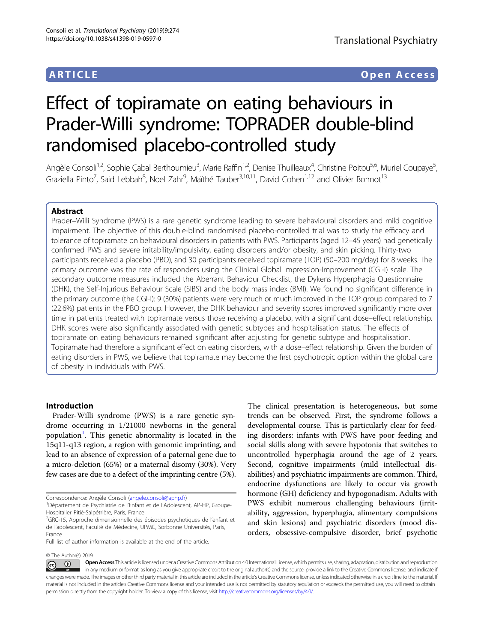## ARTICLE Open Access

# Effect of topiramate on eating behaviours in Prader-Willi syndrome: TOPRADER double-blind randomised placebo-controlled study

Angèle Consoli<sup>1,2</sup>, Sophie Çabal Berthoumieu<sup>3</sup>, Marie Raffin<sup>1,2</sup>, Denise Thuilleaux<sup>4</sup>, Christine Poitou<sup>5,6</sup>, Muriel Coupaye<sup>5</sup> , Graziella Pinto<sup>7</sup>, Said Lebbah<sup>8</sup>, Noel Zahr<sup>9</sup>, Maïthé Tauber<sup>3,10,11</sup>, David Cohen<sup>1,12</sup> and Olivier Bonnot<sup>13</sup>

### Abstract

Prader–Willi Syndrome (PWS) is a rare genetic syndrome leading to severe behavioural disorders and mild cognitive impairment. The objective of this double-blind randomised placebo-controlled trial was to study the efficacy and tolerance of topiramate on behavioural disorders in patients with PWS. Participants (aged 12–45 years) had genetically confirmed PWS and severe irritability/impulsivity, eating disorders and/or obesity, and skin picking. Thirty-two participants received a placebo (PBO), and 30 participants received topiramate (TOP) (50–200 mg/day) for 8 weeks. The primary outcome was the rate of responders using the Clinical Global Impression-Improvement (CGI-I) scale. The secondary outcome measures included the Aberrant Behaviour Checklist, the Dykens Hyperphagia Questionnaire (DHK), the Self-Injurious Behaviour Scale (SIBS) and the body mass index (BMI). We found no significant difference in the primary outcome (the CGI-I): 9 (30%) patients were very much or much improved in the TOP group compared to 7 (22.6%) patients in the PBO group. However, the DHK behaviour and severity scores improved significantly more over time in patients treated with topiramate versus those receiving a placebo, with a significant dose–effect relationship. DHK scores were also significantly associated with genetic subtypes and hospitalisation status. The effects of topiramate on eating behaviours remained significant after adjusting for genetic subtype and hospitalisation. Topiramate had therefore a significant effect on eating disorders, with a dose–effect relationship. Given the burden of eating disorders in PWS, we believe that topiramate may become the first psychotropic option within the global care of obesity in individuals with PWS.

#### Introduction

Prader-Willi syndrome (PWS) is a rare genetic syndrome occurring in 1/21000 newborns in the general population<sup>[1](#page-7-0)</sup>. This genetic abnormality is located in the 15q11-q13 region, a region with genomic imprinting, and lead to an absence of expression of a paternal gene due to a micro-deletion (65%) or a maternal disomy (30%). Very few cases are due to a defect of the imprinting centre (5%).

© The Author(s) 2019

The clinical presentation is heterogeneous, but some trends can be observed. First, the syndrome follows a developmental course. This is particularly clear for feeding disorders: infants with PWS have poor feeding and social skills along with severe hypotonia that switches to uncontrolled hyperphagia around the age of 2 years. Second, cognitive impairments (mild intellectual disabilities) and psychiatric impairments are common. Third, endocrine dysfunctions are likely to occur via growth hormone (GH) deficiency and hypogonadism. Adults with PWS exhibit numerous challenging behaviours (irritability, aggression, hyperphagia, alimentary compulsions and skin lesions) and psychiatric disorders (mood disorders, obsessive-compulsive disorder, brief psychotic

Open Access This article is licensed under a Creative Commons Attribution 4.0 International License, which permits use, sharing, adaptation, distribution and reproduction  $\overline{\circledcirc}$   $\overline{\circ}$ in any medium or format, as long as you give appropriate credit to the original author(s) and the source, provide a link to the Creative Commons license, and indicate if changes were made. The images or other third party material in this article are included in the article's Creative Commons license, unless indicated otherwise in a credit line to the material. If material is not included in the article's Creative Commons license and your intended use is not permitted by statutory regulation or exceeds the permitted use, you will need to obtain permission directly from the copyright holder. To view a copy of this license, visit <http://creativecommons.org/licenses/by/4.0/>.

Correspondence: Angèle Consoli ([angele.consoli@aphp.fr](mailto:angele.consoli@aphp.fr)) <sup>1</sup>

<sup>&</sup>lt;sup>1</sup>Département de Psychiatrie de l'Enfant et de l'Adolescent, AP-HP, Groupe-Hospitalier Pitié-Salpêtrière, Paris, France

<sup>&</sup>lt;sup>2</sup>GRC-15, Approche dimensionnelle des épisodes psychotiques de l'enfant et de l'adolescent, Faculté de Médecine, UPMC, Sorbonne Universités, Paris, France

Full list of author information is available at the end of the article.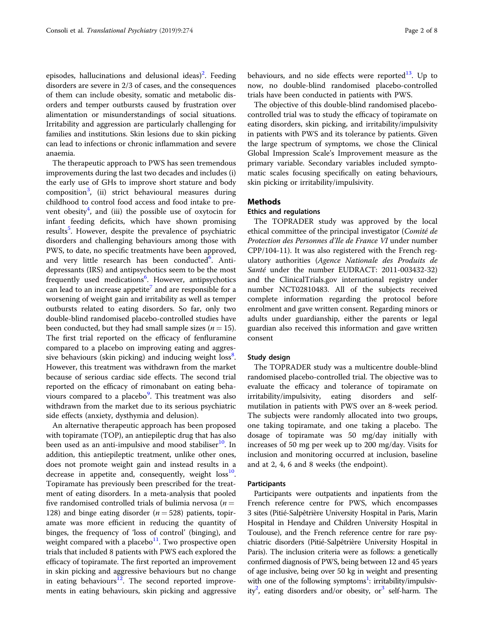episodes, hallucinations and delusional ideas)<sup>2</sup>. Feeding disorders are severe in 2/3 of cases, and the consequences of them can include obesity, somatic and metabolic disorders and temper outbursts caused by frustration over alimentation or misunderstandings of social situations. Irritability and aggression are particularly challenging for families and institutions. Skin lesions due to skin picking can lead to infections or chronic inflammation and severe anaemia.

The therapeutic approach to PWS has seen tremendous improvements during the last two decades and includes (i) the early use of GHs to improve short stature and body composition<sup>[3](#page-7-0)</sup>, (ii) strict behavioural measures during childhood to control food access and food intake to prevent obesity $4$ , and (iii) the possible use of oxytocin for infant feeding deficits, which have shown promising results<sup>[5](#page-7-0)</sup>. However, despite the prevalence of psychiatric disorders and challenging behaviours among those with PWS, to date, no specific treatments have been approved, and very little research has been conducted<sup>[6](#page-7-0)</sup>. Antidepressants (IRS) and antipsychotics seem to be the most frequently used medications<sup>[6](#page-7-0)</sup>. However, antipsychotics can lead to an increase appetite<sup>[7](#page-7-0)</sup> and are responsible for a worsening of weight gain and irritability as well as temper outbursts related to eating disorders. So far, only two double-blind randomised placebo-controlled studies have been conducted, but they had small sample sizes ( $n = 15$ ). The first trial reported on the efficacy of fenfluramine compared to a placebo on improving eating and aggres-sive behaviours (skin picking) and inducing weight loss<sup>[8](#page-7-0)</sup>. However, this treatment was withdrawn from the market because of serious cardiac side effects. The second trial reported on the efficacy of rimonabant on eating beha-viours compared to a placebo<sup>[9](#page-7-0)</sup>. This treatment was also withdrawn from the market due to its serious psychiatric side effects (anxiety, dysthymia and delusion).

An alternative therapeutic approach has been proposed with topiramate (TOP), an antiepileptic drug that has also been used as an anti-impulsive and mood stabiliser<sup>[10](#page-7-0)</sup>. In addition, this antiepileptic treatment, unlike other ones, does not promote weight gain and instead results in a decrease in appetite and, consequently, weight  $\cos^{10}$  $\cos^{10}$  $\cos^{10}$ . Topiramate has previously been prescribed for the treatment of eating disorders. In a meta-analysis that pooled five randomised controlled trials of bulimia nervosa ( $n =$ 128) and binge eating disorder ( $n = 528$ ) patients, topiramate was more efficient in reducing the quantity of binges, the frequency of 'loss of control' (binging), and weight compared with a placebo $11$ . Two prospective open trials that included 8 patients with PWS each explored the efficacy of topiramate. The first reported an improvement in skin picking and aggressive behaviours but no change in eating behaviours $12$ . The second reported improvements in eating behaviours, skin picking and aggressive behaviours, and no side effects were reported $^{13}$ . Up to now, no double-blind randomised placebo-controlled trials have been conducted in patients with PWS.

The objective of this double-blind randomised placebocontrolled trial was to study the efficacy of topiramate on eating disorders, skin picking, and irritability/impulsivity in patients with PWS and its tolerance by patients. Given the large spectrum of symptoms, we chose the Clinical Global Impression Scale's Improvement measure as the primary variable. Secondary variables included symptomatic scales focusing specifically on eating behaviours, skin picking or irritability/impulsivity.

#### Methods

#### Ethics and regulations

The TOPRADER study was approved by the local ethical committee of the principal investigator (Comité de Protection des Personnes d'Ile de France VI under number CPP/104-11). It was also registered with the French regulatory authorities (Agence Nationale des Produits de Santé under the number EUDRACT: 2011-003432-32) and the ClinicalTrials.gov international registry under number NCT02810483. All of the subjects received complete information regarding the protocol before enrolment and gave written consent. Regarding minors or adults under guardianship, either the parents or legal guardian also received this information and gave written consent

#### Study design

The TOPRADER study was a multicentre double-blind randomised placebo-controlled trial. The objective was to evaluate the efficacy and tolerance of topiramate on irritability/impulsivity, eating disorders and selfmutilation in patients with PWS over an 8-week period. The subjects were randomly allocated into two groups, one taking topiramate, and one taking a placebo. The dosage of topiramate was 50 mg/day initially with increases of 50 mg per week up to 200 mg/day. Visits for inclusion and monitoring occurred at inclusion, baseline and at 2, 4, 6 and 8 weeks (the endpoint).

#### Participants

Participants were outpatients and inpatients from the French reference centre for PWS, which encompasses 3 sites (Pitié-Salpêtrière University Hospital in Paris, Marin Hospital in Hendaye and Children University Hospital in Toulouse), and the French reference centre for rare psychiatric disorders (Pitié-Salpêtrière University Hospital in Paris). The inclusion criteria were as follows: a genetically confirmed diagnosis of PWS, being between 12 and 45 years of age inclusive, being over 50 kg in weight and presenting with one of the following symptoms<sup>[1](#page-7-0)</sup>: irritability/impulsiv-ity<sup>2</sup>, eating disorders and/or obesity, or<sup>[3](#page-7-0)</sup> self-harm. The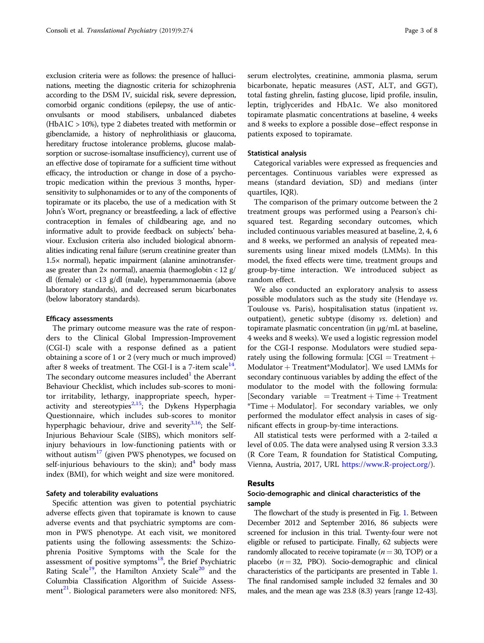exclusion criteria were as follows: the presence of hallucinations, meeting the diagnostic criteria for schizophrenia according to the DSM IV, suicidal risk, severe depression, comorbid organic conditions (epilepsy, the use of anticonvulsants or mood stabilisers, unbalanced diabetes (HbA1C > 10%), type 2 diabetes treated with metformin or gibenclamide, a history of nephrolithiasis or glaucoma, hereditary fructose intolerance problems, glucose malabsorption or sucrose-isomaltase insufficiency), current use of an effective dose of topiramate for a sufficient time without efficacy, the introduction or change in dose of a psychotropic medication within the previous 3 months, hypersensitivity to sulphonamides or to any of the components of topiramate or its placebo, the use of a medication with St John's Wort, pregnancy or breastfeeding, a lack of effective contraception in females of childbearing age, and no informative adult to provide feedback on subjects' behaviour. Exclusion criteria also included biological abnormalities indicating renal failure (serum creatinine greater than 1.5× normal), hepatic impairment (alanine aminotransferase greater than  $2 \times$  normal), anaemia (haemoglobin < 12 g/ dl (female) or <13 g/dl (male), hyperammonaemia (above laboratory standards), and decreased serum bicarbonates (below laboratory standards).

#### Efficacy assessments

The primary outcome measure was the rate of responders to the Clinical Global Impression-Improvement (CGI-I) scale with a response defined as a patient obtaining a score of 1 or 2 (very much or much improved) after 8 weeks of treatment. The CGI-I is a 7-item scale $^{14}$  $^{14}$  $^{14}$ . The secondary outcome measures included $1$  the Aberrant Behaviour Checklist, which includes sub-scores to monitor irritability, lethargy, inappropriate speech, hyper-activity and stereotypies<sup>[2](#page-7-0),[15](#page-7-0)</sup>; the Dykens Hyperphagia Questionnaire, which includes sub-scores to monitor hyperphagic behaviour, drive and severity $3,16$  $3,16$  $3,16$ ; the Self-Injurious Behaviour Scale (SIBS), which monitors selfinjury behaviours in low-functioning patients with or without autism<sup>[17](#page-7-0)</sup> (given PWS phenotypes, we focused on self-injurious behaviours to the skin); and  $4$  body mass index (BMI), for which weight and size were monitored.

#### Safety and tolerability evaluations

Specific attention was given to potential psychiatric adverse effects given that topiramate is known to cause adverse events and that psychiatric symptoms are common in PWS phenotype. At each visit, we monitored patients using the following assessments: the Schizophrenia Positive Symptoms with the Scale for the assessment of positive symptoms $^{18}$ , the Brief Psychiatric Rating Scale<sup>[19](#page-7-0)</sup>, the Hamilton Anxiety Scale<sup>20</sup> and the Columbia Classification Algorithm of Suicide Assess-ment<sup>[21](#page-7-0)</sup>. Biological parameters were also monitored: NFS, serum electrolytes, creatinine, ammonia plasma, serum bicarbonate, hepatic measures (AST, ALT, and GGT), total fasting ghrelin, fasting glucose, lipid profile, insulin, leptin, triglycerides and HbA1c. We also monitored topiramate plasmatic concentrations at baseline, 4 weeks and 8 weeks to explore a possible dose–effect response in patients exposed to topiramate.

#### Statistical analysis

Categorical variables were expressed as frequencies and percentages. Continuous variables were expressed as means (standard deviation, SD) and medians (inter quartiles, IQR).

The comparison of the primary outcome between the 2 treatment groups was performed using a Pearson's chisquared test. Regarding secondary outcomes, which included continuous variables measured at baseline, 2, 4, 6 and 8 weeks, we performed an analysis of repeated measurements using linear mixed models (LMMs). In this model, the fixed effects were time, treatment groups and group-by-time interaction. We introduced subject as random effect.

We also conducted an exploratory analysis to assess possible modulators such as the study site (Hendaye vs. Toulouse vs. Paris), hospitalisation status (inpatient vs. outpatient), genetic subtype (disomy vs. deletion) and topiramate plasmatic concentration (in µg/mL at baseline, 4 weeks and 8 weeks). We used a logistic regression model for the CGI-I response. Modulators were studied separately using the following formula:  $[CGI = Treatment +$ Modulator + Treatment\*Modulator]. We used LMMs for secondary continuous variables by adding the effect of the modulator to the model with the following formula:  $[Secondary variable = Treatment + Time + Treatment$ \*Time + Modulator]. For secondary variables, we only performed the modulator effect analysis in cases of significant effects in group-by-time interactions.

All statistical tests were performed with a 2-tailed  $α$ level of 0.05. The data were analysed using R version 3.3.3 (R Core Team, R foundation for Statistical Computing, Vienna, Austria, 2017, URL <https://www.R-project.org/>).

#### Results

#### Socio-demographic and clinical characteristics of the sample

The flowchart of the study is presented in Fig. [1.](#page-3-0) Between December 2012 and September 2016, 86 subjects were screened for inclusion in this trial. Twenty-four were not eligible or refused to participate. Finally, 62 subjects were randomly allocated to receive topiramate ( $n = 30$ , TOP) or a placebo  $(n = 32, PBO)$ . Socio-demographic and clinical characteristics of the participants are presented in Table [1](#page-3-0). The final randomised sample included 32 females and 30 males, and the mean age was 23.8 (8.3) years [range 12-43].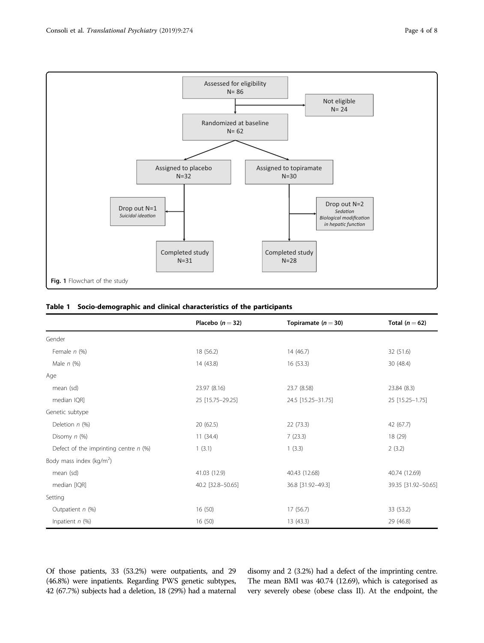<span id="page-3-0"></span>

N=28

Fig. 1 Flowchart of the study

#### Table 1 Socio-demographic and clinical characteristics of the participants

N=31

|                                         | Placebo $(n=32)$  | Topiramate ( $n = 30$ ) | Total ( $n = 62$ )  |
|-----------------------------------------|-------------------|-------------------------|---------------------|
| Gender                                  |                   |                         |                     |
| Female $n$ (%)                          | 18 (56.2)         | 14 (46.7)               | 32 (51.6)           |
| Male $n$ (%)                            | 14 (43.8)         | 16 (53.3)               | 30 (48.4)           |
| Age                                     |                   |                         |                     |
| mean (sd)                               | 23.97 (8.16)      | 23.7 (8.58)             | 23.84 (8.3)         |
| median IQR]                             | 25 [15.75-29.25]  | 24.5 [15.25-31.75]      | 25 [15.25-1.75]     |
| Genetic subtype                         |                   |                         |                     |
| Deletion $n$ (%)                        | 20(62.5)          | 22 (73.3)               | 42 (67.7)           |
| Disomy $n$ (%)                          | 11(34.4)          | 7(23.3)                 | 18 (29)             |
| Defect of the imprinting centre $n$ (%) | 1(3.1)            | 1(3.3)                  | 2(3.2)              |
| Body mass index (kg/m <sup>2</sup> )    |                   |                         |                     |
| mean (sd)                               | 41.03 (12.9)      | 40.43 (12.68)           | 40.74 (12.69)       |
| median [IQR]                            | 40.2 [32.8-50.65] | 36.8 [31.92-49.3]       | 39.35 [31.92-50.65] |
| Setting                                 |                   |                         |                     |
| Outpatient $n$ (%)                      | 16(50)            | 17 (56.7)               | 33 (53.2)           |
| Inpatient $n$ (%)                       | 16(50)            | 13 (43.3)               | 29 (46.8)           |

Of those patients, 33 (53.2%) were outpatients, and 29 (46.8%) were inpatients. Regarding PWS genetic subtypes, 42 (67.7%) subjects had a deletion, 18 (29%) had a maternal disomy and 2 (3.2%) had a defect of the imprinting centre. The mean BMI was 40.74 (12.69), which is categorised as very severely obese (obese class II). At the endpoint, the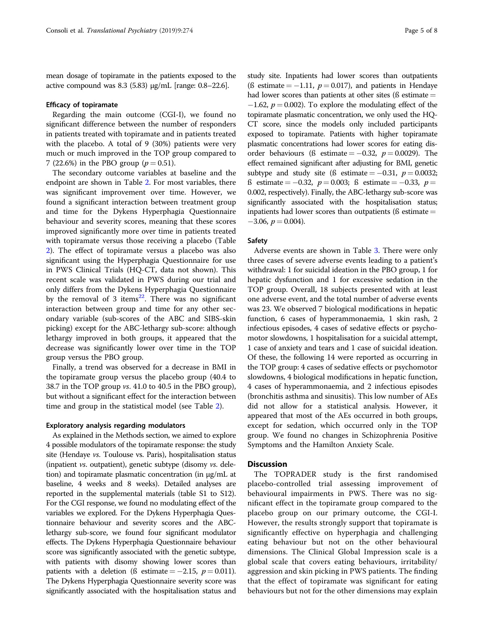mean dosage of topiramate in the patients exposed to the active compound was 8.3 (5.83) μg/mL [range: 0.8–22.6].

#### Efficacy of topiramate

Regarding the main outcome (CGI-I), we found no significant difference between the number of responders in patients treated with topiramate and in patients treated with the placebo. A total of 9 (30%) patients were very much or much improved in the TOP group compared to 7 (22.6%) in the PBO group ( $p = 0.51$ ).

The secondary outcome variables at baseline and the endpoint are shown in Table [2](#page-5-0). For most variables, there was significant improvement over time. However, we found a significant interaction between treatment group and time for the Dykens Hyperphagia Questionnaire behaviour and severity scores, meaning that these scores improved significantly more over time in patients treated with topiramate versus those receiving a placebo (Table [2\)](#page-5-0). The effect of topiramate versus a placebo was also significant using the Hyperphagia Questionnaire for use in PWS Clinical Trials (HQ-CT, data not shown). This recent scale was validated in PWS during our trial and only differs from the Dykens Hyperphagia Questionnaire by the removal of 3 items $^{22}$ . There was no significant interaction between group and time for any other secondary variable (sub-scores of the ABC and SIBS-skin picking) except for the ABC-lethargy sub-score: although lethargy improved in both groups, it appeared that the decrease was significantly lower over time in the TOP group versus the PBO group.

Finally, a trend was observed for a decrease in BMI in the topiramate group versus the placebo group (40.4 to 38.7 in the TOP group vs. 41.0 to 40.5 in the PBO group), but without a significant effect for the interaction between time and group in the statistical model (see Table [2](#page-5-0)).

#### Exploratory analysis regarding modulators

As explained in the Methods section, we aimed to explore 4 possible modulators of the topiramate response: the study site (Hendaye vs. Toulouse vs. Paris), hospitalisation status (inpatient vs. outpatient), genetic subtype (disomy vs. deletion) and topiramate plasmatic concentration (in µg/mL at baseline, 4 weeks and 8 weeks). Detailed analyses are reported in the supplemental materials (table S1 to S12). For the CGI response, we found no modulating effect of the variables we explored. For the Dykens Hyperphagia Questionnaire behaviour and severity scores and the ABClethargy sub-score, we found four significant modulator effects. The Dykens Hyperphagia Questionnaire behaviour score was significantly associated with the genetic subtype, with patients with disomy showing lower scores than patients with a deletion (ß estimate =  $-2.15$ ,  $p = 0.011$ ). The Dykens Hyperphagia Questionnaire severity score was significantly associated with the hospitalisation status and

study site. Inpatients had lower scores than outpatients (ß estimate  $= -1.11$ ,  $p = 0.017$ ), and patients in Hendaye had lower scores than patients at other sites ( $\beta$  estimate  $=$  $-1.62$ ,  $p = 0.002$ ). To explore the modulating effect of the topiramate plasmatic concentration, we only used the HQ-CT score, since the models only included participants exposed to topiramate. Patients with higher topiramate plasmatic concentrations had lower scores for eating disorder behaviours (ß estimate =  $-0.32$ ,  $p = 0.0029$ ). The effect remained significant after adjusting for BMI, genetic subtype and study site (ß estimate =  $-0.31, p = 0.0032;$ ß estimate = −0.32,  $p = 0.003$ ; ß estimate = −0.33,  $p =$ 0.002, respectively). Finally, the ABC-lethargy sub-score was significantly associated with the hospitalisation status; inpatients had lower scores than outpatients ( $\beta$  estimate  $=$  $-3.06, p = 0.004$ ).

#### Safety

Adverse events are shown in Table [3.](#page-6-0) There were only three cases of severe adverse events leading to a patient's withdrawal: 1 for suicidal ideation in the PBO group, 1 for hepatic dysfunction and 1 for excessive sedation in the TOP group. Overall, 18 subjects presented with at least one adverse event, and the total number of adverse events was 23. We observed 7 biological modifications in hepatic function, 6 cases of hyperammonaemia, 1 skin rash, 2 infectious episodes, 4 cases of sedative effects or psychomotor slowdowns, 1 hospitalisation for a suicidal attempt, 1 case of anxiety and tears and 1 case of suicidal ideation. Of these, the following 14 were reported as occurring in the TOP group: 4 cases of sedative effects or psychomotor slowdowns, 4 biological modifications in hepatic function, 4 cases of hyperammonaemia, and 2 infectious episodes (bronchitis asthma and sinusitis). This low number of AEs did not allow for a statistical analysis. However, it appeared that most of the AEs occurred in both groups, except for sedation, which occurred only in the TOP group. We found no changes in Schizophrenia Positive Symptoms and the Hamilton Anxiety Scale.

#### **Discussion**

The TOPRADER study is the first randomised placebo-controlled trial assessing improvement of behavioural impairments in PWS. There was no significant effect in the topiramate group compared to the placebo group on our primary outcome, the CGI-I. However, the results strongly support that topiramate is significantly effective on hyperphagia and challenging eating behaviour but not on the other behavioural dimensions. The Clinical Global Impression scale is a global scale that covers eating behaviours, irritability/ aggression and skin picking in PWS patients. The finding that the effect of topiramate was significant for eating behaviours but not for the other dimensions may explain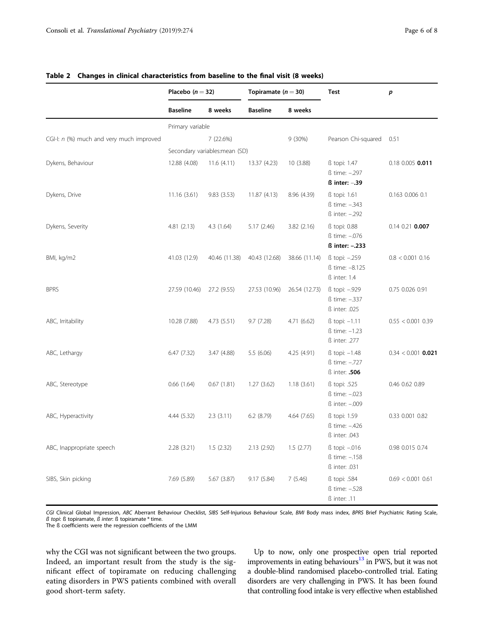|                                          | Placebo $(n=32)$              |               | Topiramate $(n=30)$ |               | <b>Test</b>                                             | p                    |
|------------------------------------------|-------------------------------|---------------|---------------------|---------------|---------------------------------------------------------|----------------------|
|                                          | <b>Baseline</b>               | 8 weeks       | <b>Baseline</b>     | 8 weeks       |                                                         |                      |
|                                          | Primary variable              |               |                     |               |                                                         |                      |
| CGI-I: n (%) much and very much improved |                               | 7 (22.6%)     |                     | $9(30\%)$     | Pearson Chi-squared                                     | 0.51                 |
|                                          | Secondary variables:mean (SD) |               |                     |               |                                                         |                      |
| Dykens, Behaviour                        | 12.88 (4.08)                  | 11.6(4.11)    | 13.37 (4.23)        | 10 (3.88)     | ß topi: 1.47<br>ß time: -. 297<br>$\beta$ inter: $-.39$ | 0.18 0.005 0.011     |
| Dykens, Drive                            | 11.16(3.61)                   | 9.83(3.53)    | 11.87 (4.13)        | 8.96 (4.39)   | ß topi: 1.61<br>ß time: -.343<br>ß inter: -.292         | 0.163 0.006 0.1      |
| Dykens, Severity                         | 4.81(2.13)                    | 4.3(1.64)     | 5.17(2.46)          | 3.82(2.16)    | ß topi: 0.88<br>ß time: -. 076<br>ß inter: -.233        | $0.14$ $0.21$ 0.007  |
| BMI, kg/m2                               | 41.03 (12.9)                  | 40.46 (11.38) | 40.43 (12.68)       | 38.66 (11.14) | ß topi: -.259<br>ß time: -8.125<br>ß inter: 1.4         | $0.8 < 0.001$ 0.16   |
| <b>BPRS</b>                              | 27.59 (10.46)                 | 27.2 (9.55)   | 27.53 (10.96)       | 26.54 (12.73) | ß topi: -.929<br>ß time: -.337<br>ß inter: .025         | 0.75 0.026 0.91      |
| ABC, Irritability                        | 10.28 (7.88)                  | 4.73 (5.51)   | 9.7(7.28)           | 4.71 (6.62)   | ß topi: -1.11<br>ß time: -1.23<br>ß inter: .277         | $0.55 < 0.001$ 0.39  |
| ABC, Lethargy                            | 6.47(7.32)                    | 3.47 (4.88)   | 5.5(6.06)           | 4.25 (4.91)   | ß topi: -1.48<br>ß time: -.727<br><b>B</b> inter: .506  | $0.34 < 0.001$ 0.021 |
| ABC, Stereotype                          | 0.66(1.64)                    | 0.67(1.81)    | 1.27(3.62)          | 1.18(3.61)    | ß topi: .525<br>ß time: -. 023<br>ß inter: -.009        | 0.46 0.62 0.89       |
| ABC, Hyperactivity                       | 4.44(5.32)                    | 2.3(3.11)     | $6.2$ $(8.79)$      | 4.64(7.65)    | ß topi: 1.59<br>ß time: -.426<br>ß inter: .043          | 0.33 0.001 0.82      |
| ABC, Inappropriate speech                | 2.28(3.21)                    | 1.5(2.32)     | 2.13 (2.92)         | 1.5(2.77)     | ß topi: -.016<br>ß time: -.158<br>ß inter: .031         | 0.98 0.015 0.74      |
| SIBS, Skin picking                       | 7.69 (5.89)                   | 5.67 (3.87)   | 9.17(5.84)          | 7(5.46)       | ß topi: .584<br>ß time: -.528<br>ß inter: .11           | $0.69 < 0.001$ 0.61  |

#### <span id="page-5-0"></span>Table 2 Changes in clinical characteristics from baseline to the final visit (8 weeks)

CGI Clinical Global Impression, ABC Aberrant Behaviour Checklist, SIBS Self-Injurious Behaviour Scale, BMI Body mass index, BPRS Brief Psychiatric Rating Scale, ß topi: ß topiramate,  $\vec{B}$  inter: ß topiramate \* time.

The ß coefficients were the regression coefficients of the LMM

why the CGI was not significant between the two groups. Indeed, an important result from the study is the significant effect of topiramate on reducing challenging eating disorders in PWS patients combined with overall good short-term safety.

Up to now, only one prospective open trial reported improvements in eating behaviours<sup>13</sup> in PWS, but it was not a double-blind randomised placebo-controlled trial. Eating disorders are very challenging in PWS. It has been found that controlling food intake is very effective when established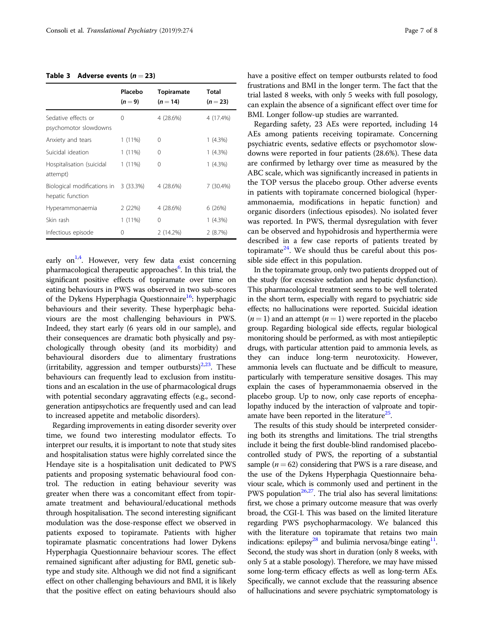#### <span id="page-6-0"></span>Table 3 Adverse events  $(n = 23)$

|                                                 | Placebo<br>$(n=9)$ | <b>Topiramate</b><br>$(n = 14)$ | Total<br>$(n=23)$ |
|-------------------------------------------------|--------------------|---------------------------------|-------------------|
| Sedative effects or<br>psychomotor slowdowns    | 0                  | 4 (28.6%)                       | 4 (17.4%)         |
| Anxiety and tears                               | $1(11\%)$          | 0                               | $1(4.3\%)$        |
| Suicidal ideation                               | $1(11\%)$          | 0                               | $1(4.3\%)$        |
| Hospitalisation (suicidal<br>attempt)           | $1(11\%)$          | 0                               | $1(4.3\%)$        |
| Biological modifications in<br>hepatic function | 3(33.3%)           | 4 (28.6%)                       | 7 (30.4%)         |
| Hyperammonaemia                                 | 2(22%)             | 4 (28.6%)                       | 6 (26%)           |
| Skin rash                                       | $1(11\%)$          | 0                               | $1(4.3\%)$        |
| Infectious episode                              | 0                  | 2(14.2%)                        | 2(8.7%)           |

early on<sup>1,[4](#page-7-0)</sup>. However, very few data exist concerning pharmacological therapeutic approaches<sup>[6](#page-7-0)</sup>. In this trial, the significant positive effects of topiramate over time on eating behaviours in PWS was observed in two sub-scores of the Dykens Hyperphagia Questionnaire<sup>[16](#page-7-0)</sup>: hyperphagic behaviours and their severity. These hyperphagic behaviours are the most challenging behaviours in PWS. Indeed, they start early (6 years old in our sample), and their consequences are dramatic both physically and psychologically through obesity (and its morbidity) and behavioural disorders due to alimentary frustrations (irritability, aggression and temper outbursts) $2,23$ . These behaviours can frequently lead to exclusion from institutions and an escalation in the use of pharmacological drugs with potential secondary aggravating effects (e.g., secondgeneration antipsychotics are frequently used and can lead to increased appetite and metabolic disorders).

Regarding improvements in eating disorder severity over time, we found two interesting modulator effects. To interpret our results, it is important to note that study sites and hospitalisation status were highly correlated since the Hendaye site is a hospitalisation unit dedicated to PWS patients and proposing systematic behavioural food control. The reduction in eating behaviour severity was greater when there was a concomitant effect from topiramate treatment and behavioural/educational methods through hospitalisation. The second interesting significant modulation was the dose-response effect we observed in patients exposed to topiramate. Patients with higher topiramate plasmatic concentrations had lower Dykens Hyperphagia Questionnaire behaviour scores. The effect remained significant after adjusting for BMI, genetic subtype and study site. Although we did not find a significant effect on other challenging behaviours and BMI, it is likely that the positive effect on eating behaviours should also have a positive effect on temper outbursts related to food frustrations and BMI in the longer term. The fact that the trial lasted 8 weeks, with only 5 weeks with full posology, can explain the absence of a significant effect over time for BMI. Longer follow-up studies are warranted.

Regarding safety, 23 AEs were reported, including 14 AEs among patients receiving topiramate. Concerning psychiatric events, sedative effects or psychomotor slowdowns were reported in four patients (28.6%). These data are confirmed by lethargy over time as measured by the ABC scale, which was significantly increased in patients in the TOP versus the placebo group. Other adverse events in patients with topiramate concerned biological (hyperammonaemia, modifications in hepatic function) and organic disorders (infectious episodes). No isolated fever was reported. In PWS, thermal dysregulation with fever can be observed and hypohidrosis and hyperthermia were described in a few case reports of patients treated by topiramate<sup>[24](#page-7-0)</sup>. We should thus be careful about this possible side effect in this population.

In the topiramate group, only two patients dropped out of the study (for excessive sedation and hepatic dysfunction). This pharmacological treatment seems to be well tolerated in the short term, especially with regard to psychiatric side effects; no hallucinations were reported. Suicidal ideation  $(n = 1)$  and an attempt  $(n = 1)$  were reported in the placebo group. Regarding biological side effects, regular biological monitoring should be performed, as with most antiepileptic drugs, with particular attention paid to ammonia levels, as they can induce long-term neurotoxicity. However, ammonia levels can fluctuate and be difficult to measure, particularly with temperature sensitive dosages. This may explain the cases of hyperammonaemia observed in the placebo group. Up to now, only case reports of encephalopathy induced by the interaction of valproate and topiramate have been reported in the literature $25$ .

The results of this study should be interpreted considering both its strengths and limitations. The trial strengths include it being the first double-blind randomised placebocontrolled study of PWS, the reporting of a substantial sample ( $n = 62$ ) considering that PWS is a rare disease, and the use of the Dykens Hyperphagia Questionnaire behaviour scale, which is commonly used and pertinent in the PWS population $26,27$ . The trial also has several limitations: first, we chose a primary outcome measure that was overly broad, the CGI-I. This was based on the limited literature regarding PWS psychopharmacology. We balanced this with the literature on topiramate that retains two main indications: epilepsy<sup>28</sup> and bulimia nervosa/binge eating<sup>11</sup>. Second, the study was short in duration (only 8 weeks, with only 5 at a stable posology). Therefore, we may have missed some long-term efficacy effects as well as long-term AEs. Specifically, we cannot exclude that the reassuring absence of hallucinations and severe psychiatric symptomatology is